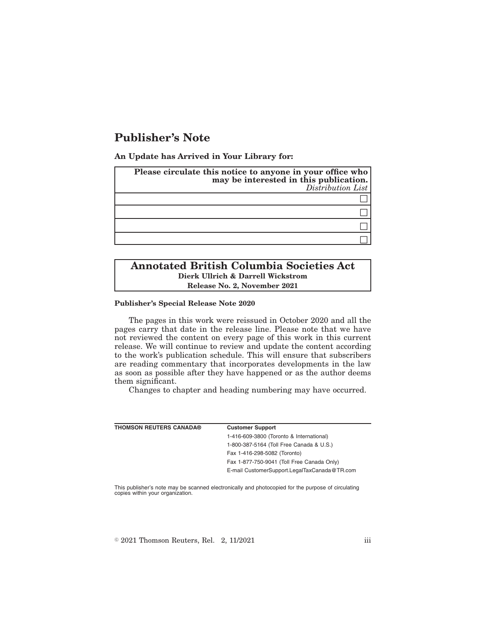# **Publisher's Note**

**An Update has Arrived in Your Library for:**

| Please circulate this notice to anyone in your office who<br>may be interested in this publication.<br>Distribution List |
|--------------------------------------------------------------------------------------------------------------------------|
|                                                                                                                          |
|                                                                                                                          |
|                                                                                                                          |
|                                                                                                                          |

## **Annotated British Columbia Societies Act Dierk Ullrich & Darrell Wickstrom Release No. 2, November 2021**

#### **Publisher's Special Release Note 2020**

The pages in this work were reissued in October 2020 and all the pages carry that date in the release line. Please note that we have not reviewed the content on every page of this work in this current release. We will continue to review and update the content according to the work's publication schedule. This will ensure that subscribers are reading commentary that incorporates developments in the law as soon as possible after they have happened or as the author deems them significant.

Changes to chapter and heading numbering may have occurred.

| <b>THOMSON REUTERS CANADA®</b> | <b>Customer Support</b>                      |
|--------------------------------|----------------------------------------------|
|                                | 1-416-609-3800 (Toronto & International)     |
|                                | 1-800-387-5164 (Toll Free Canada & U.S.)     |
|                                | Fax 1-416-298-5082 (Toronto)                 |
|                                | Fax 1-877-750-9041 (Toll Free Canada Only)   |
|                                | E-mail CustomerSupport.LegalTaxCanada@TR.com |
|                                |                                              |

This publisher's note may be scanned electronically and photocopied for the purpose of circulating copies within your organization.

 $\textdegree$  2021 Thomson Reuters, Rel. 2, 11/2021 iii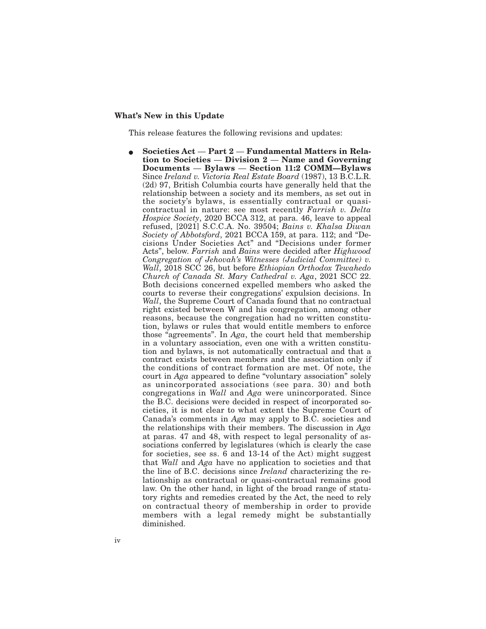#### **What's New in this Update**

This release features the following revisions and updates:

E **Societies Act** — **Part 2** — **Fundamental Matters in Relation to Societies** — **Division 2** — **Name and Governing Documents** — **Bylaws** — **Section 11:2 COMM—Bylaws** Since *Ireland v. Victoria Real Estate Board* (1987), 13 B.C.L.R. (2d) 97, British Columbia courts have generally held that the relationship between a society and its members, as set out in the society's bylaws, is essentially contractual or quasicontractual in nature: see most recently *Farrish v. Delta Hospice Society*, 2020 BCCA 312, at para. 46, leave to appeal refused, [2021] S.C.C.A. No. 39504; *Bains v. Khalsa Diwan Society of Abbotsford*, 2021 BCCA 159, at para. 112; and "Decisions Under Societies Act" and "Decisions under former Acts", below. *Farrish* and *Bains* were decided after *Highwood Congregation of Jehovah's Witnesses (Judicial Committee) v. Wall*, 2018 SCC 26, but before *Ethiopian Orthodox Tewahedo Church of Canada St. Mary Cathedral v. Aga*, 2021 SCC 22. Both decisions concerned expelled members who asked the courts to reverse their congregations' expulsion decisions. In *Wall*, the Supreme Court of Canada found that no contractual right existed between W and his congregation, among other reasons, because the congregation had no written constitution, bylaws or rules that would entitle members to enforce those "agreements". In *Aga*, the court held that membership in a voluntary association, even one with a written constitution and bylaws, is not automatically contractual and that a contract exists between members and the association only if the conditions of contract formation are met. Of note, the court in *Aga* appeared to define "voluntary association" solely as unincorporated associations (see para. 30) and both congregations in *Wall* and *Aga* were unincorporated. Since the B.C. decisions were decided in respect of incorporated societies, it is not clear to what extent the Supreme Court of Canada's comments in *Aga* may apply to B.C. societies and the relationships with their members. The discussion in *Aga* at paras. 47 and 48, with respect to legal personality of associations conferred by legislatures (which is clearly the case for societies, see ss. 6 and 13-14 of the Act) might suggest that *Wall* and *Aga* have no application to societies and that the line of B.C. decisions since *Ireland* characterizing the relationship as contractual or quasi-contractual remains good law. On the other hand, in light of the broad range of statutory rights and remedies created by the Act, the need to rely on contractual theory of membership in order to provide members with a legal remedy might be substantially diminished.